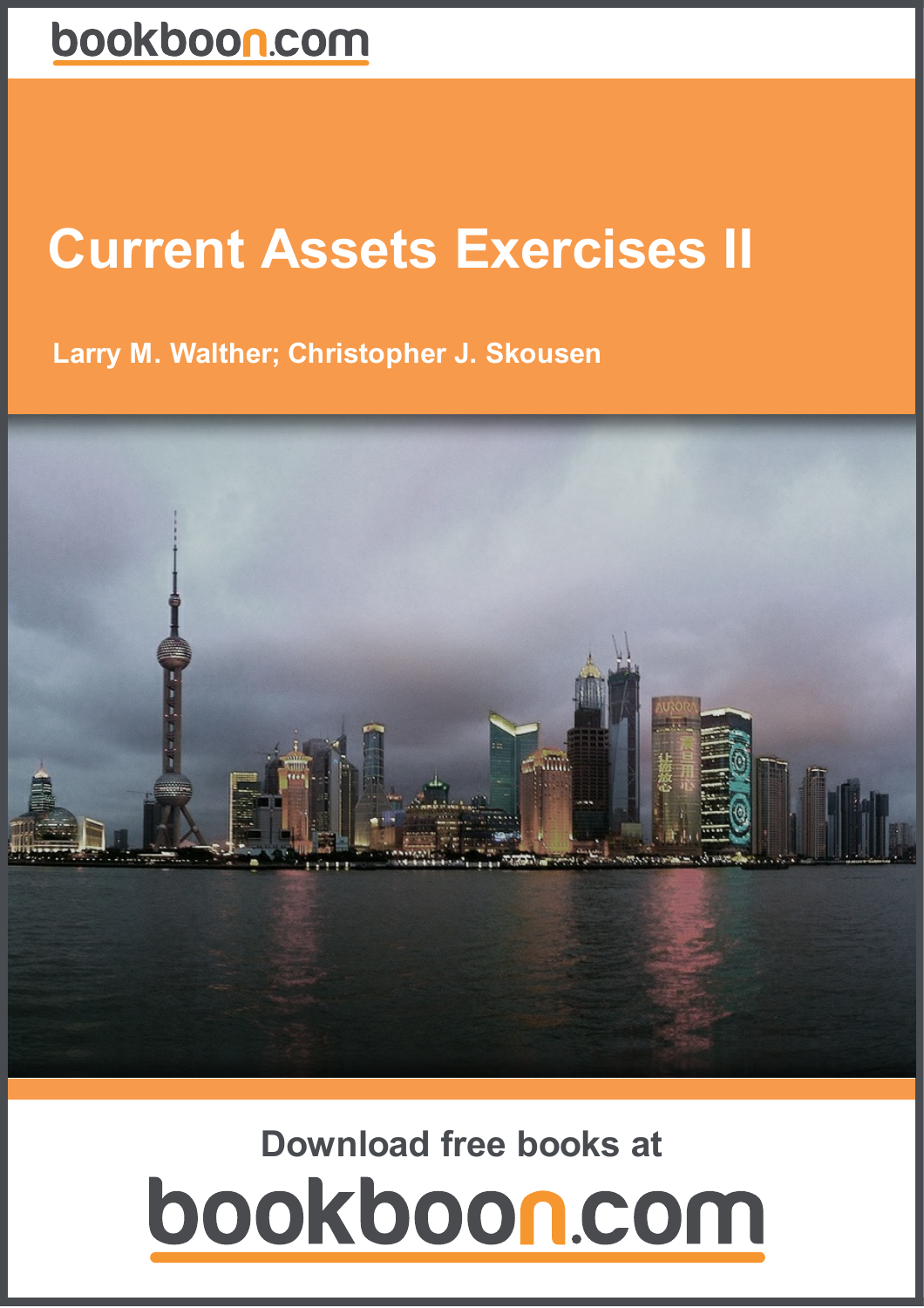# **Current Assets Exercises II**

**Larry M. Walther; Christopher J. Skousen**



# **Download free books at**bookboon.com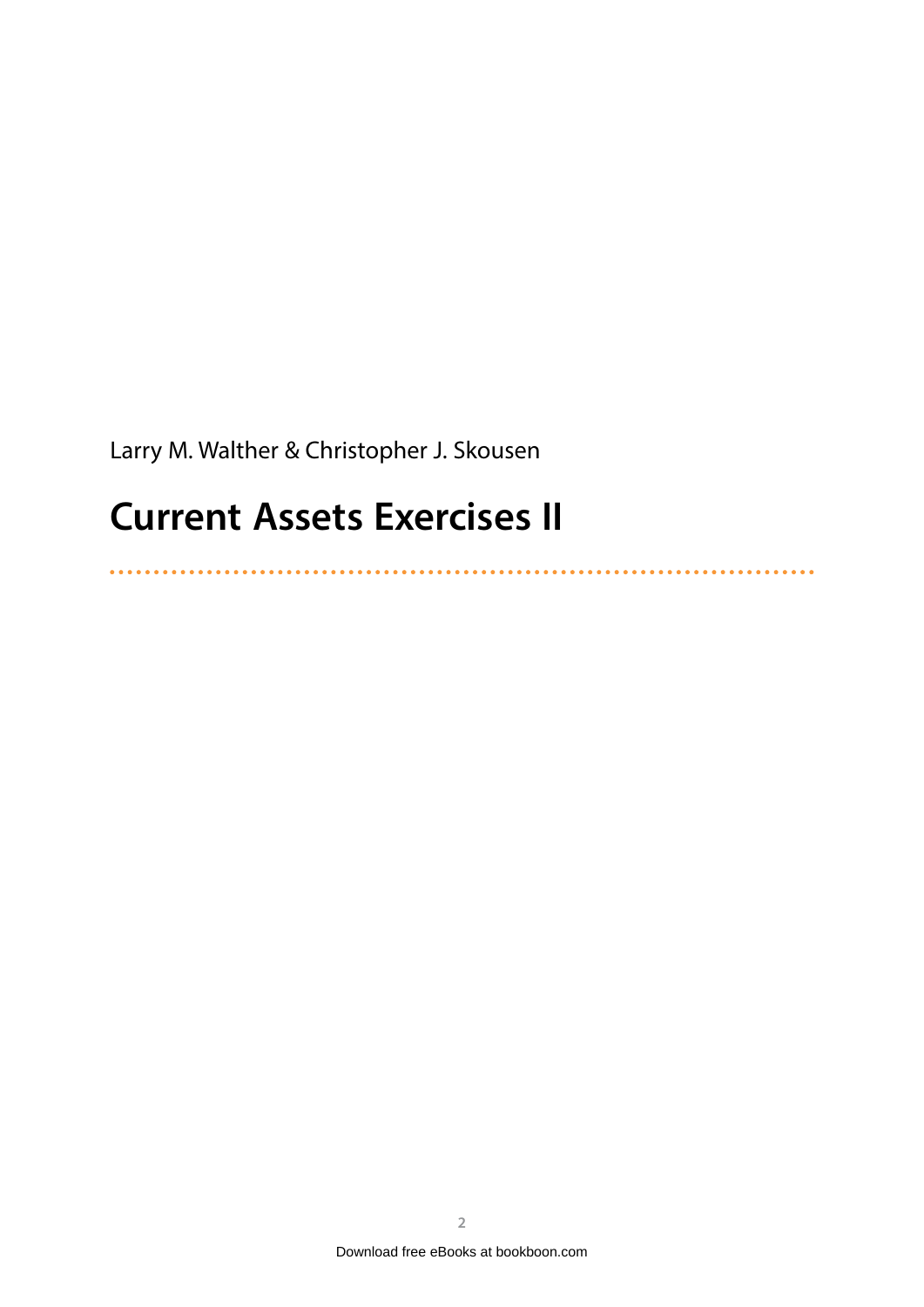Larry M. Walther & Christopher J. Skousen

### **Current Assets Exercises II**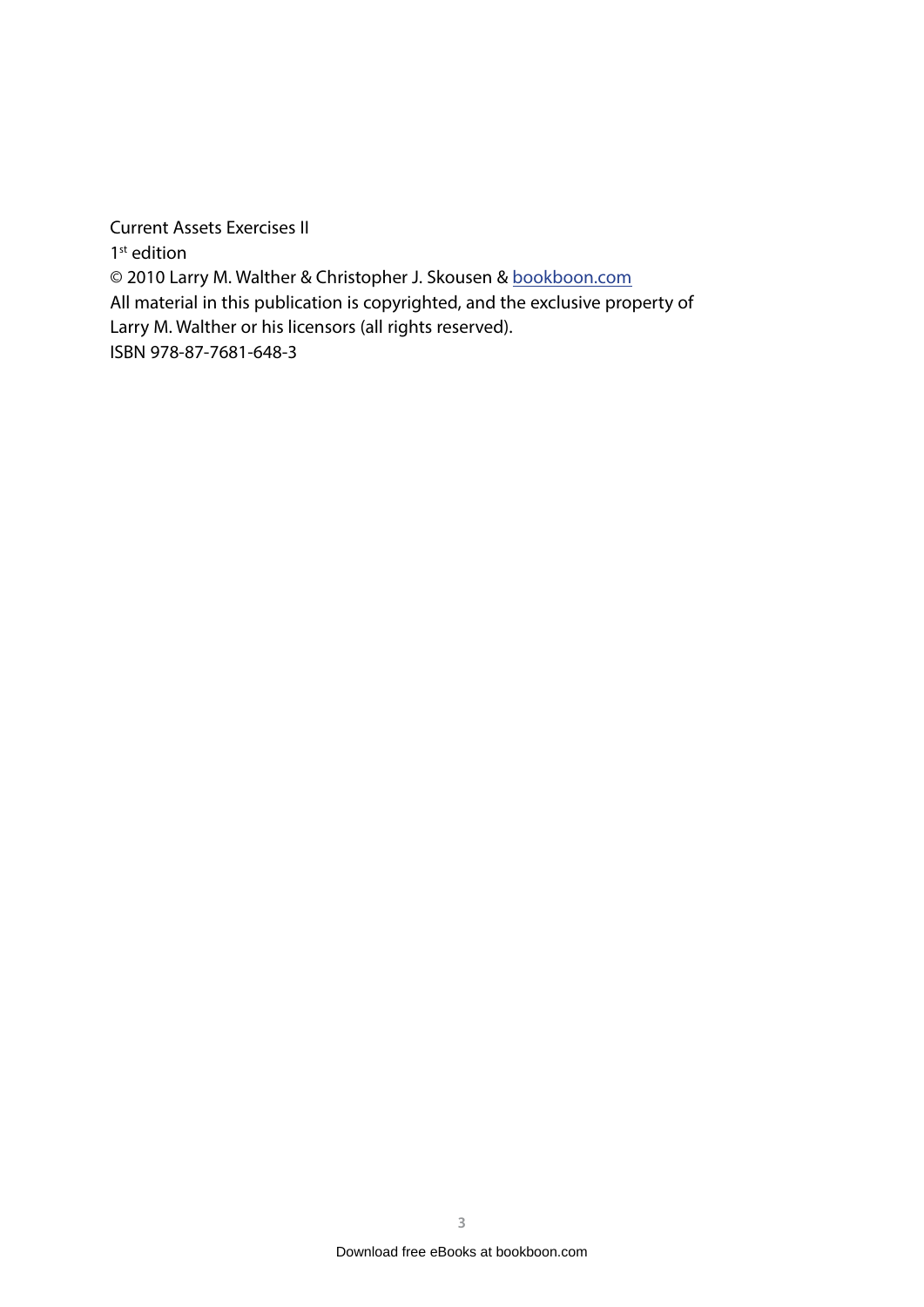Current Assets Exercises II 1<sup>st</sup> edition © 2010 Larry M. Walther & Christopher J. Skousen & [bookboon.com](http://bookboon.com) All material in this publication is copyrighted, and the exclusive property of Larry M. Walther or his licensors (all rights reserved). ISBN 978-87-7681-648-3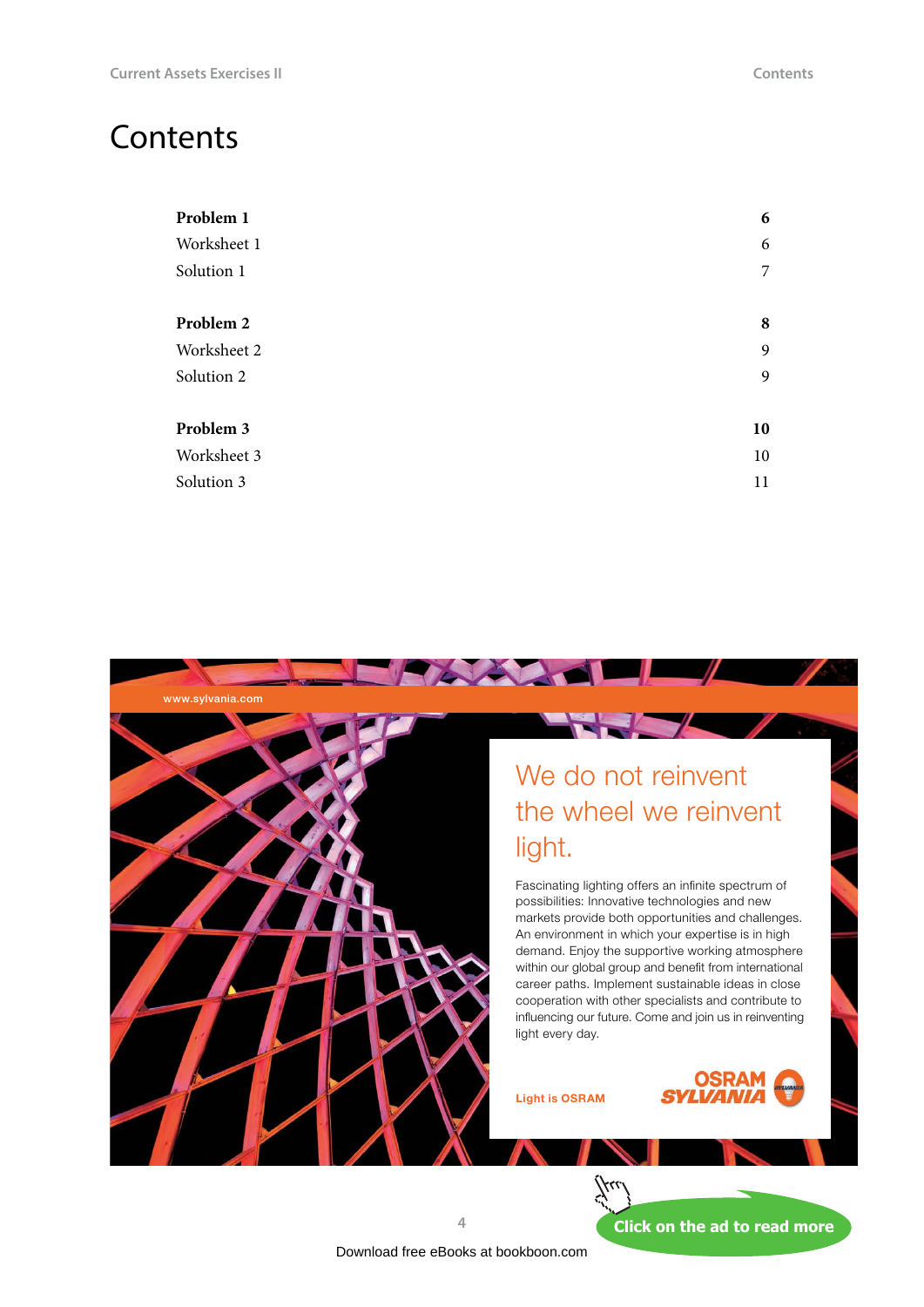### **Contents**

| Problem 1   | 6              |
|-------------|----------------|
| Worksheet 1 | 6              |
| Solution 1  | $\overline{7}$ |
| Problem 2   | 8              |
| Worksheet 2 | 9              |
| Solution 2  | 9              |
| Problem 3   | 10             |
| Worksheet 3 | 10             |
| Solution 3  | 11             |



### We do not reinvent [the wheel we reinvent](http://s.bookboon.com/osram)  light.

Fascinating lighting offers an infinite spectrum of possibilities: Innovative technologies and new markets provide both opportunities and challenges. An environment in which your expertise is in high demand. Enjoy the supportive working atmosphere within our global group and benefit from international career paths. Implement sustainable ideas in close cooperation with other specialists and contribute to influencing our future. Come and join us in reinventing light every day.

Light is OSRAM



**4**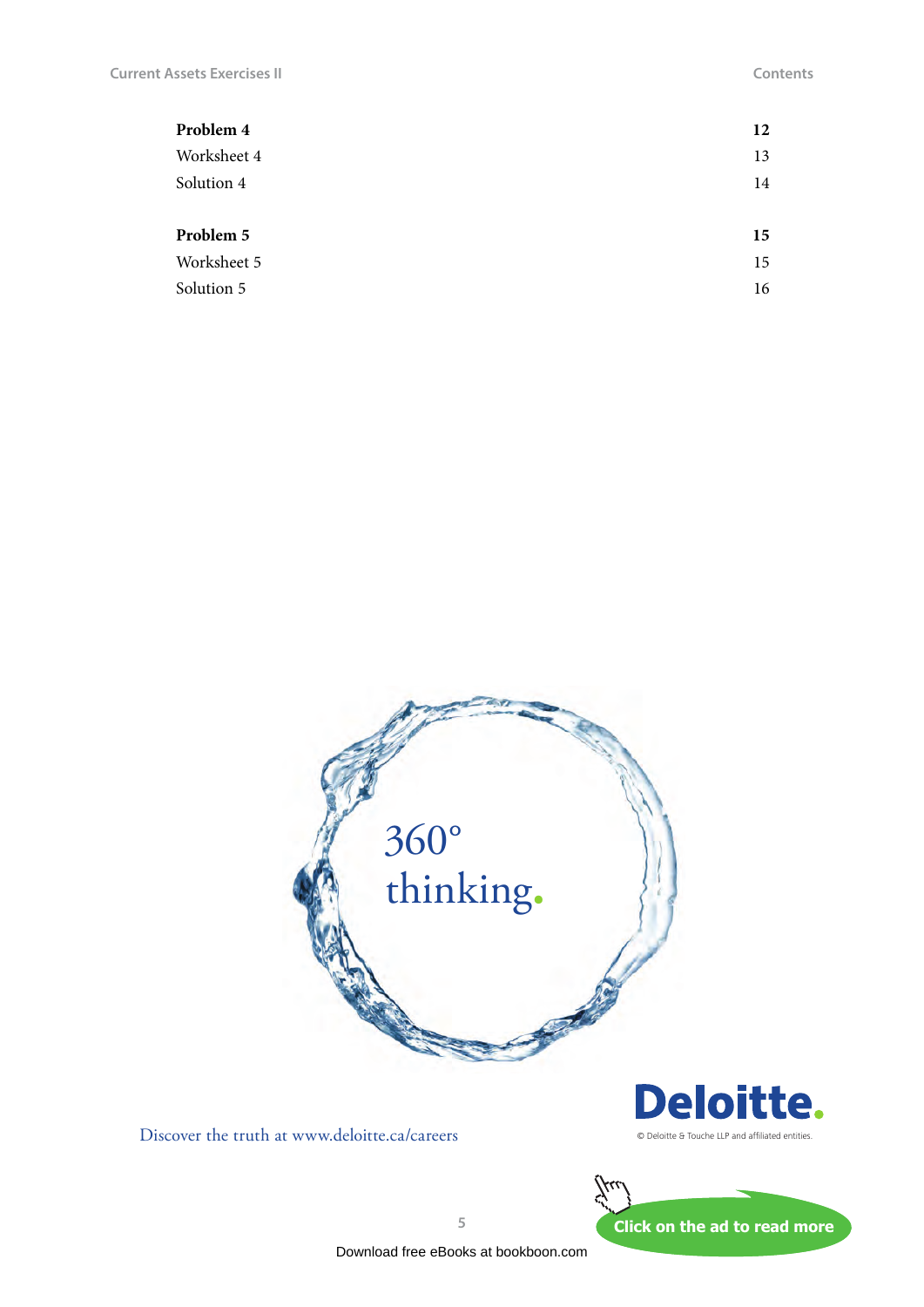| Problem 4   | 12 |
|-------------|----|
| Worksheet 4 | 13 |
| Solution 4  | 14 |
| Problem 5   | 15 |
| Worksheet 5 | 15 |
| Solution 5  | 16 |



Discover the truth at www.deloitte.ca/careers





**5**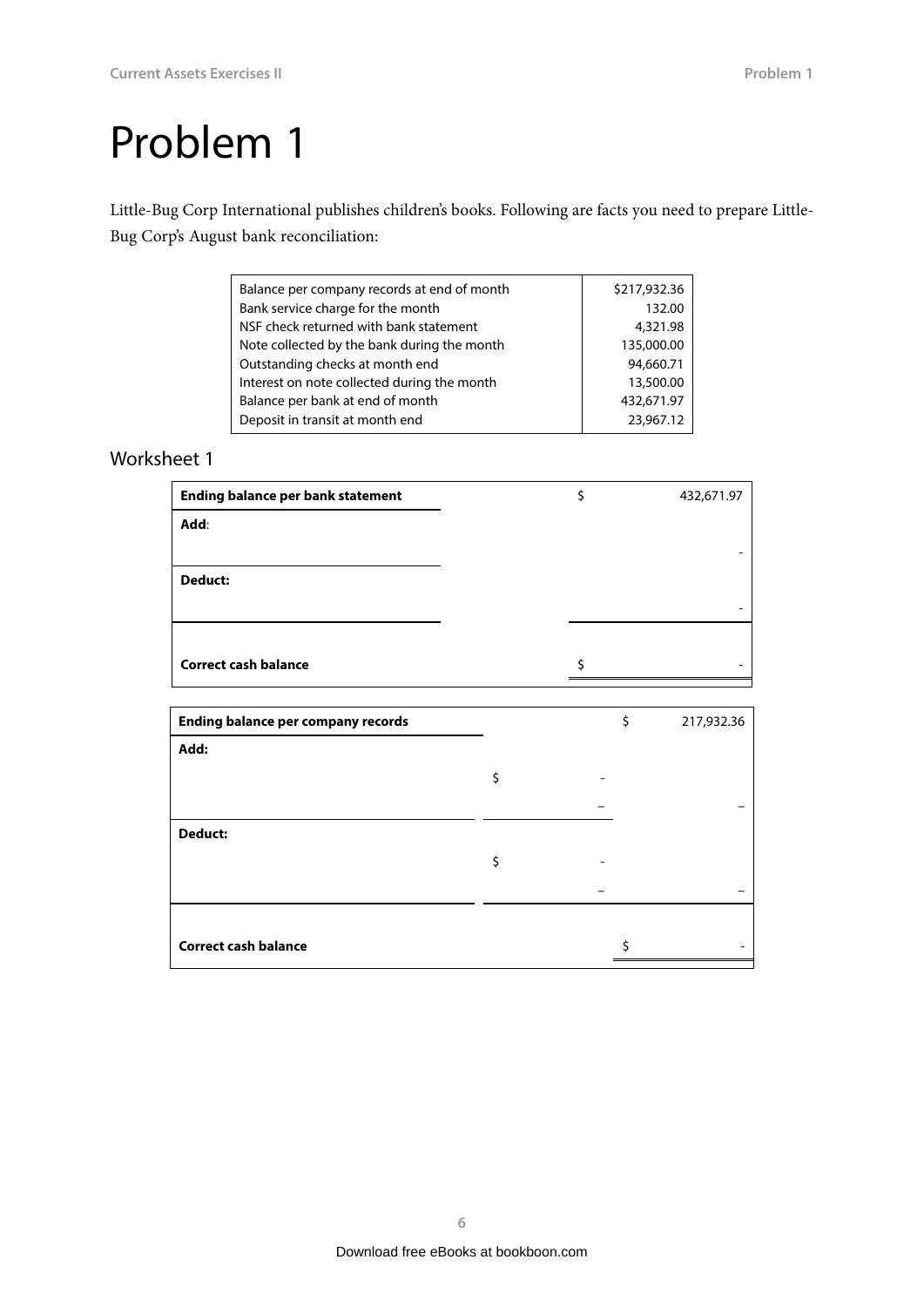<span id="page-5-0"></span>Little-Bug Corp International publishes children's books. Following are facts you need to prepare Little-Bug Corp's August bank reconciliation:

| Balance per company records at end of month | \$217,932.36 |
|---------------------------------------------|--------------|
| Bank service charge for the month           | 132.00       |
| NSF check returned with bank statement      | 4,321.98     |
| Note collected by the bank during the month | 135,000.00   |
| Outstanding checks at month end             | 94,660.71    |
| Interest on note collected during the month | 13,500.00    |
| Balance per bank at end of month            | 432,671.97   |
| Deposit in transit at month end             | 23,967.12    |
|                                             |              |

| <b>Ending balance per bank statement</b> | \$ | 432,671.97 |
|------------------------------------------|----|------------|
| Add:                                     |    |            |
|                                          |    |            |
| <b>Deduct:</b>                           |    |            |
|                                          |    |            |
|                                          |    |            |
| <b>Correct cash balance</b>              | ς  |            |

|    | \$<br>217,932.36 |
|----|------------------|
|    |                  |
| \$ |                  |
|    |                  |
|    |                  |
| \$ |                  |
|    |                  |
|    |                  |
|    |                  |
|    |                  |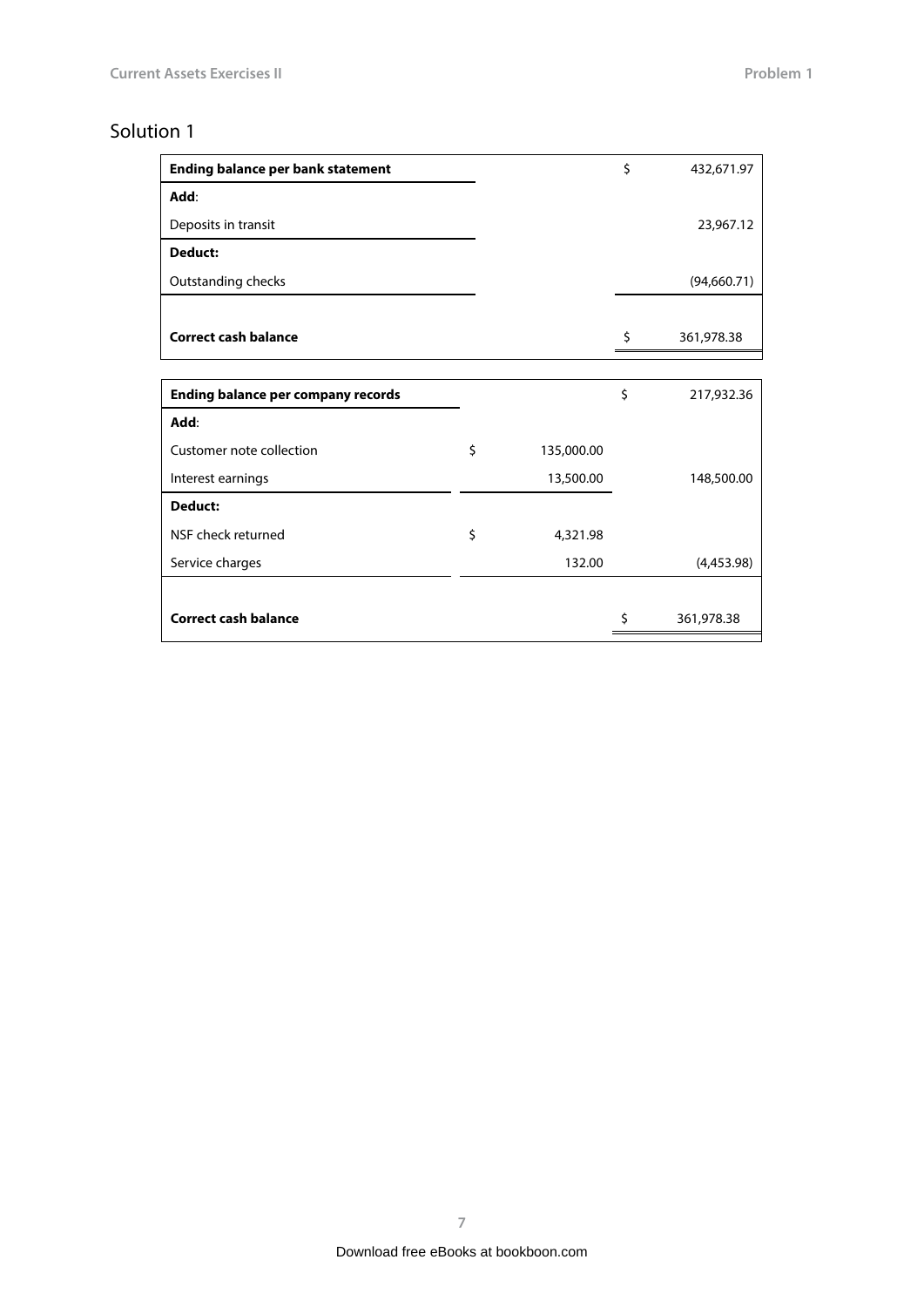<span id="page-6-0"></span>

| <b>Ending balance per bank statement</b>  |                  | \$ | 432,671.97   |
|-------------------------------------------|------------------|----|--------------|
| Add:                                      |                  |    |              |
| Deposits in transit                       |                  |    | 23,967.12    |
| Deduct:                                   |                  |    |              |
| Outstanding checks                        |                  |    | (94, 660.71) |
|                                           |                  |    |              |
| <b>Correct cash balance</b>               |                  | \$ | 361,978.38   |
|                                           |                  |    |              |
| <b>Ending balance per company records</b> |                  | \$ | 217,932.36   |
| Add:                                      |                  |    |              |
| Customer note collection                  | \$<br>135,000.00 |    |              |
| Interest earnings                         | 13,500.00        |    | 148,500.00   |
| Deduct:                                   |                  |    |              |
| NSF check returned                        | \$<br>4,321.98   |    |              |
| Service charges                           | 132.00           |    | (4,453.98)   |
|                                           |                  |    |              |
| <b>Correct cash balance</b>               |                  | Ś  | 361,978.38   |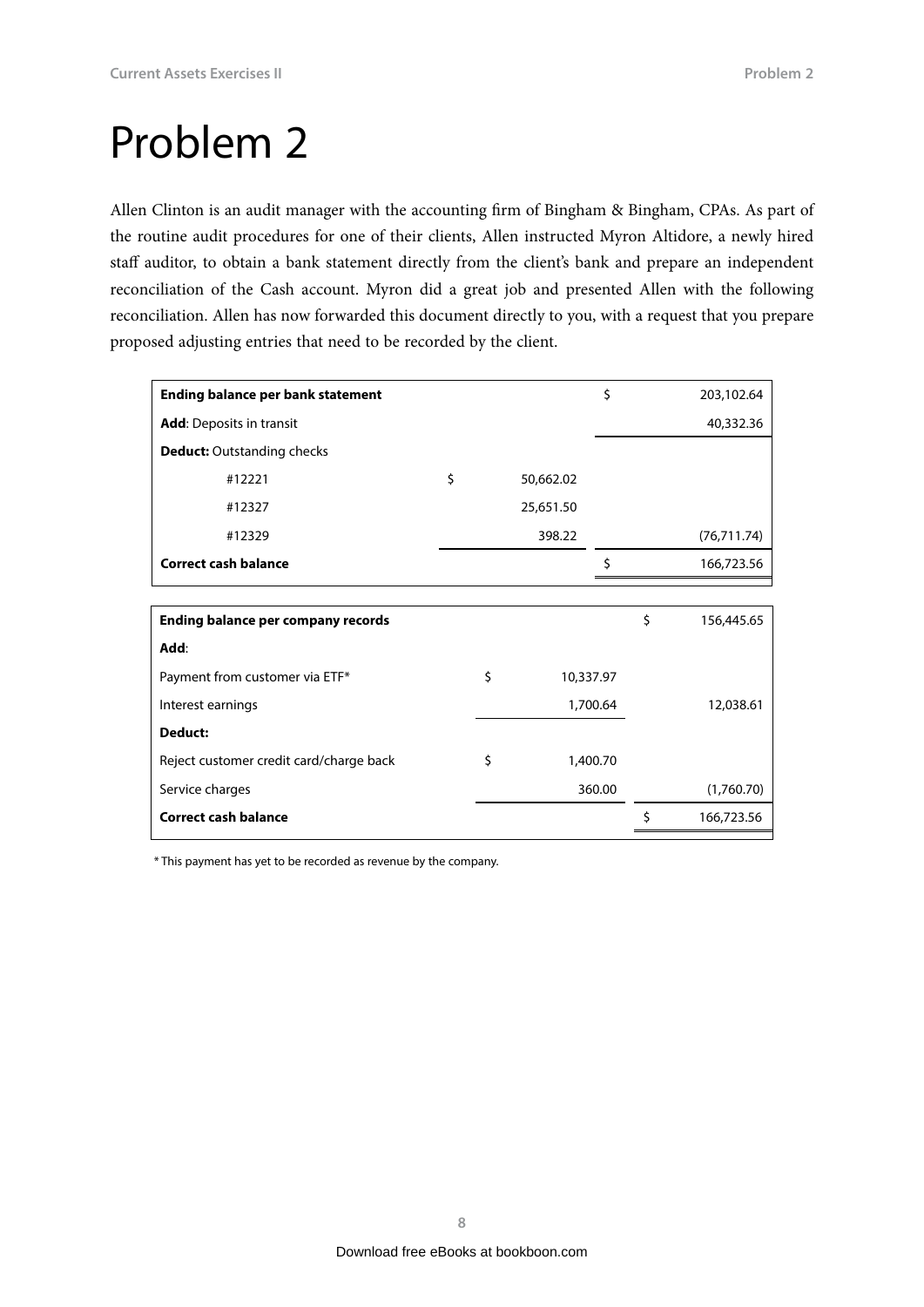<span id="page-7-0"></span>Allen Clinton is an audit manager with the accounting firm of Bingham & Bingham, CPAs. As part of the routine audit procedures for one of their clients, Allen instructed Myron Altidore, a newly hired staff auditor, to obtain a bank statement directly from the client's bank and prepare an independent reconciliation of the Cash account. Myron did a great job and presented Allen with the following reconciliation. Allen has now forwarded this document directly to you, with a request that you prepare proposed adjusting entries that need to be recorded by the client.

| <b>Ending balance per bank statement</b>  |    |           | Ś.       | 203,102.64       |
|-------------------------------------------|----|-----------|----------|------------------|
| <b>Add:</b> Deposits in transit           |    |           |          | 40,332.36        |
| <b>Deduct:</b> Outstanding checks         |    |           |          |                  |
| #12221                                    | \$ | 50,662.02 |          |                  |
| #12327                                    |    | 25,651.50 |          |                  |
| #12329                                    |    | 398.22    |          | (76, 711.74)     |
| <b>Correct cash balance</b>               |    |           | \$       | 166,723.56       |
|                                           |    |           |          |                  |
| <b>Ending balance per company records</b> |    |           |          | \$<br>156,445.65 |
| Add:                                      |    |           |          |                  |
| Payment from customer via ETF*            | \$ | 10,337.97 |          |                  |
| Interest earnings                         |    |           | 1,700.64 | 12,038.61        |
| Deduct:                                   |    |           |          |                  |
| Reject customer credit card/charge back   | \$ |           | 1,400.70 |                  |
| Service charges                           |    |           | 360.00   | (1,760.70)       |
| <b>Correct cash balance</b>               |    |           |          | \$<br>166,723.56 |

\* This payment has yet to be recorded as revenue by the company.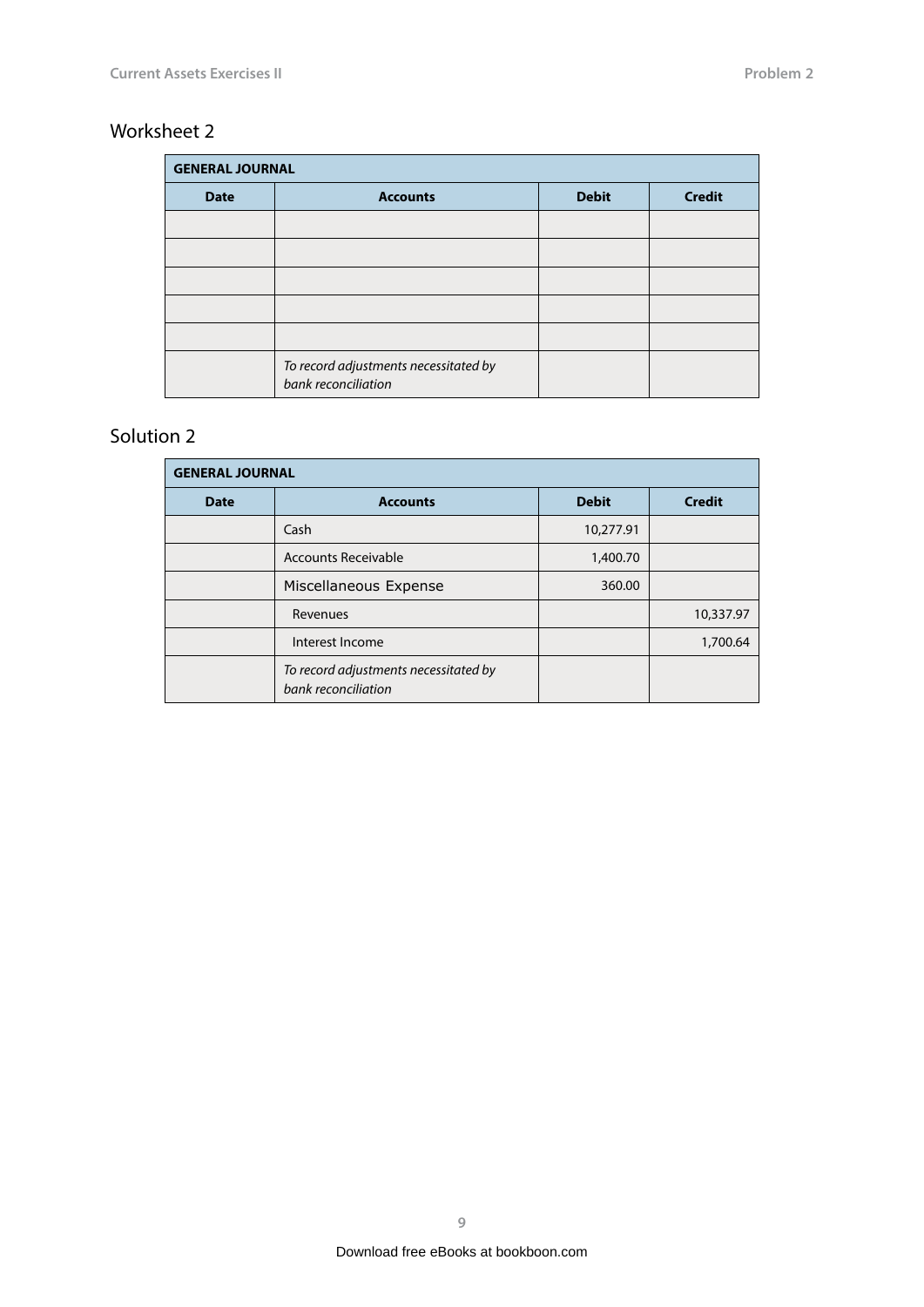### <span id="page-8-0"></span>Worksheet 2

| <b>GENERAL JOURNAL</b> |                                                              |              |               |
|------------------------|--------------------------------------------------------------|--------------|---------------|
| <b>Date</b>            | <b>Accounts</b>                                              | <b>Debit</b> | <b>Credit</b> |
|                        |                                                              |              |               |
|                        |                                                              |              |               |
|                        |                                                              |              |               |
|                        |                                                              |              |               |
|                        |                                                              |              |               |
|                        | To record adjustments necessitated by<br>bank reconciliation |              |               |

| <b>GENERAL JOURNAL</b> |                                                              |              |               |  |
|------------------------|--------------------------------------------------------------|--------------|---------------|--|
| <b>Date</b>            | <b>Accounts</b>                                              | <b>Debit</b> | <b>Credit</b> |  |
|                        | Cash                                                         | 10,277.91    |               |  |
|                        | Accounts Receivable                                          | 1,400.70     |               |  |
|                        | Miscellaneous Expense                                        | 360.00       |               |  |
|                        | Revenues                                                     |              | 10,337.97     |  |
|                        | Interest Income                                              |              | 1,700.64      |  |
|                        | To record adjustments necessitated by<br>bank reconciliation |              |               |  |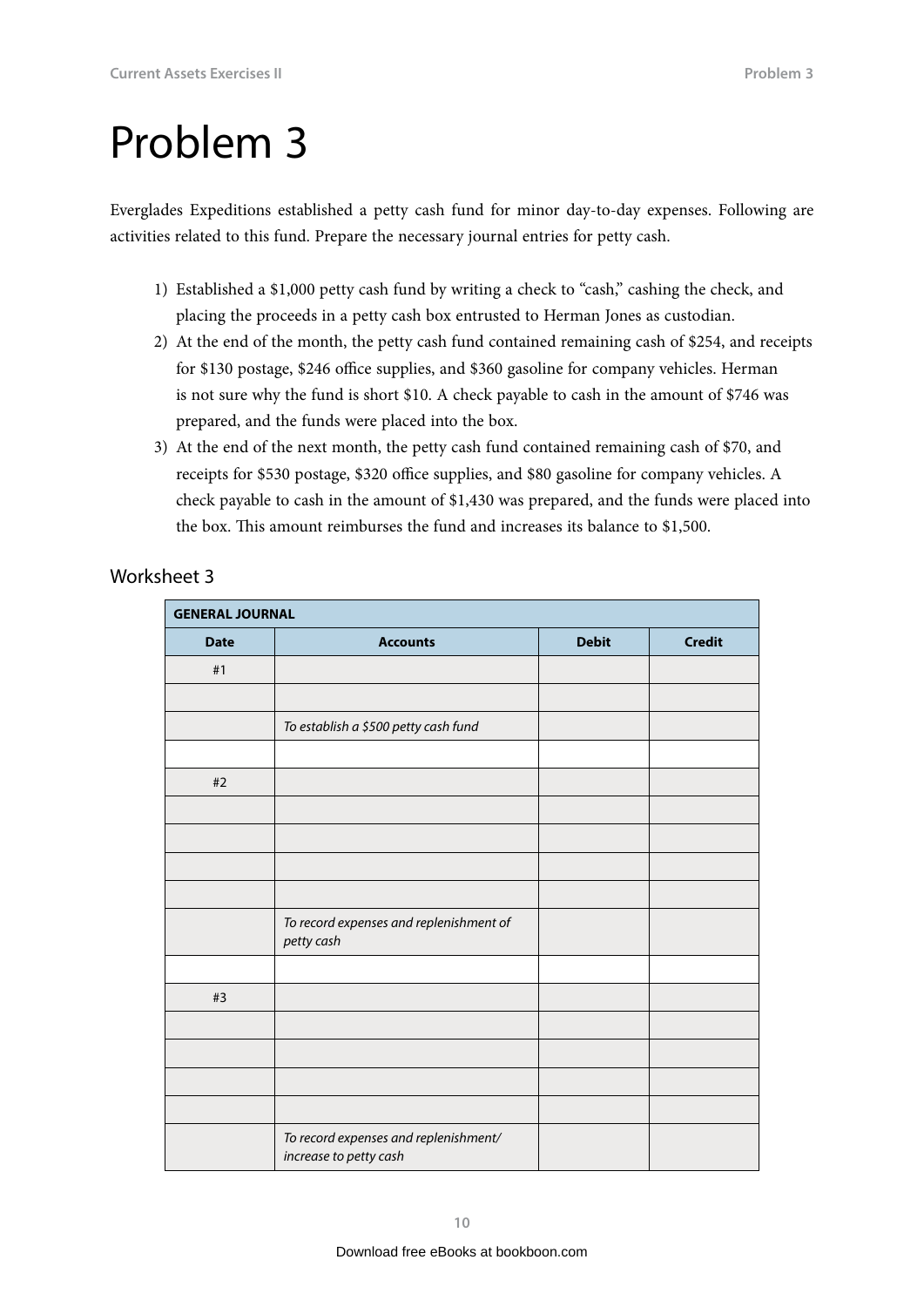<span id="page-9-0"></span>Everglades Expeditions established a petty cash fund for minor day-to-day expenses. Following are activities related to this fund. Prepare the necessary journal entries for petty cash.

- 1) Established a \$1,000 petty cash fund by writing a check to "cash," cashing the check, and placing the proceeds in a petty cash box entrusted to Herman Jones as custodian.
- 2) At the end of the month, the petty cash fund contained remaining cash of \$254, and receipts for \$130 postage, \$246 office supplies, and \$360 gasoline for company vehicles. Herman is not sure why the fund is short \$10. A check payable to cash in the amount of \$746 was prepared, and the funds were placed into the box.
- 3) At the end of the next month, the petty cash fund contained remaining cash of \$70, and receipts for \$530 postage, \$320 office supplies, and \$80 gasoline for company vehicles. A check payable to cash in the amount of \$1,430 was prepared, and the funds were placed into the box. This amount reimburses the fund and increases its balance to \$1,500.

| <b>GENERAL JOURNAL</b> |                                                                 |              |               |
|------------------------|-----------------------------------------------------------------|--------------|---------------|
| <b>Date</b>            | <b>Accounts</b>                                                 | <b>Debit</b> | <b>Credit</b> |
| #1                     |                                                                 |              |               |
|                        |                                                                 |              |               |
|                        | To establish a \$500 petty cash fund                            |              |               |
|                        |                                                                 |              |               |
| $#2$                   |                                                                 |              |               |
|                        |                                                                 |              |               |
|                        |                                                                 |              |               |
|                        |                                                                 |              |               |
|                        |                                                                 |              |               |
|                        | To record expenses and replenishment of<br>petty cash           |              |               |
|                        |                                                                 |              |               |
| #3                     |                                                                 |              |               |
|                        |                                                                 |              |               |
|                        |                                                                 |              |               |
|                        |                                                                 |              |               |
|                        |                                                                 |              |               |
|                        | To record expenses and replenishment/<br>increase to petty cash |              |               |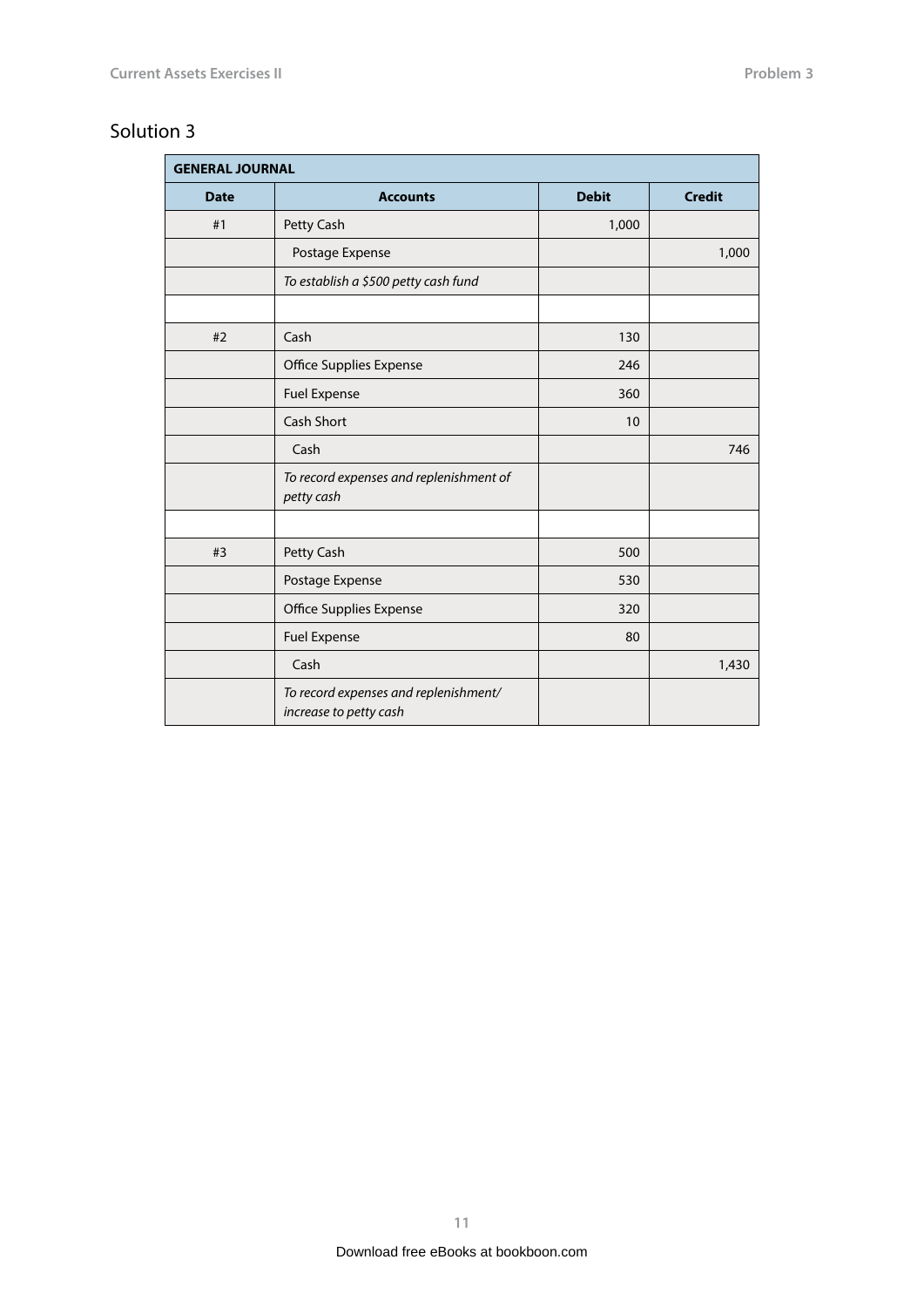<span id="page-10-0"></span>

| <b>GENERAL JOURNAL</b> |                                                                 |              |               |
|------------------------|-----------------------------------------------------------------|--------------|---------------|
| <b>Date</b>            | <b>Accounts</b>                                                 | <b>Debit</b> | <b>Credit</b> |
| #1                     | Petty Cash                                                      | 1,000        |               |
|                        | Postage Expense                                                 |              | 1,000         |
|                        | To establish a \$500 petty cash fund                            |              |               |
|                        |                                                                 |              |               |
| #2                     | Cash                                                            | 130          |               |
|                        | Office Supplies Expense                                         | 246          |               |
|                        | <b>Fuel Expense</b>                                             | 360          |               |
|                        | <b>Cash Short</b>                                               | 10           |               |
|                        | Cash                                                            |              | 746           |
|                        | To record expenses and replenishment of<br>petty cash           |              |               |
|                        |                                                                 |              |               |
| #3                     | Petty Cash                                                      | 500          |               |
|                        | Postage Expense                                                 | 530          |               |
|                        | Office Supplies Expense                                         | 320          |               |
|                        | <b>Fuel Expense</b>                                             | 80           |               |
|                        | Cash                                                            |              | 1,430         |
|                        | To record expenses and replenishment/<br>increase to petty cash |              |               |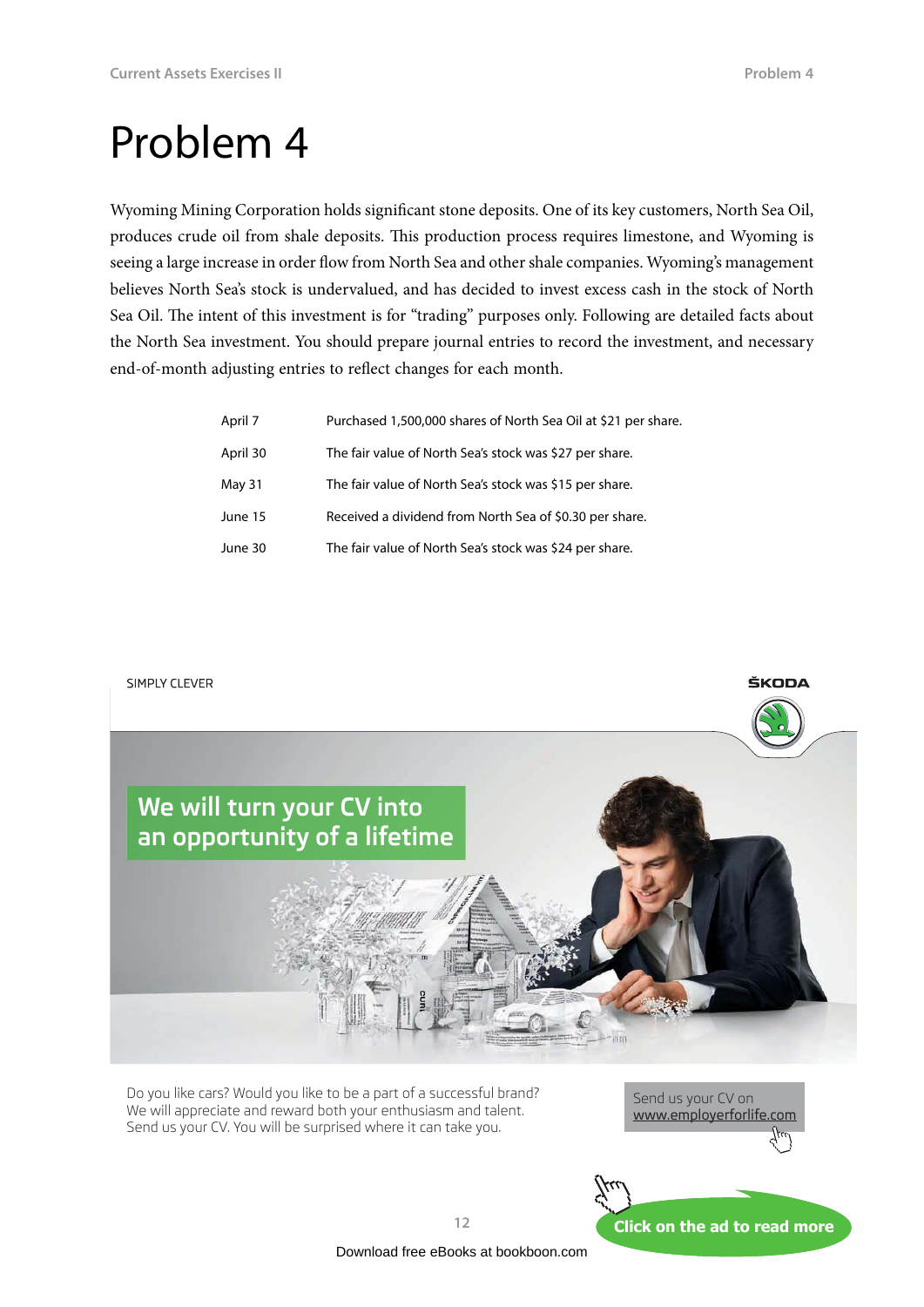ŠKODA

### <span id="page-11-0"></span>Problem 4

Wyoming Mining Corporation holds significant stone deposits. One of its key customers, North Sea Oil, produces crude oil from shale deposits. This production process requires limestone, and Wyoming is seeing a large increase in order flow from North Sea and other shale companies. Wyoming's management believes North Sea's stock is undervalued, and has decided to invest excess cash in the stock of North Sea Oil. The intent of this investment is for "trading" purposes only. Following are detailed facts about the North Sea investment. You should prepare journal entries to record the investment, and necessary end-of-month adjusting entries to reflect changes for each month.

| April 7  | Purchased 1,500,000 shares of North Sea Oil at \$21 per share. |
|----------|----------------------------------------------------------------|
| April 30 | The fair value of North Sea's stock was \$27 per share.        |
| May 31   | The fair value of North Sea's stock was \$15 per share.        |
| June 15  | Received a dividend from North Sea of \$0.30 per share.        |
| June 30  | The fair value of North Sea's stock was \$24 per share.        |

SIMPLY CLEVER



Do you like cars? Would you like to be a part of a successful brand? We will appreciate and reward both your enthusiasm and talent. Send us your CV. You will be surprised where it can take you.



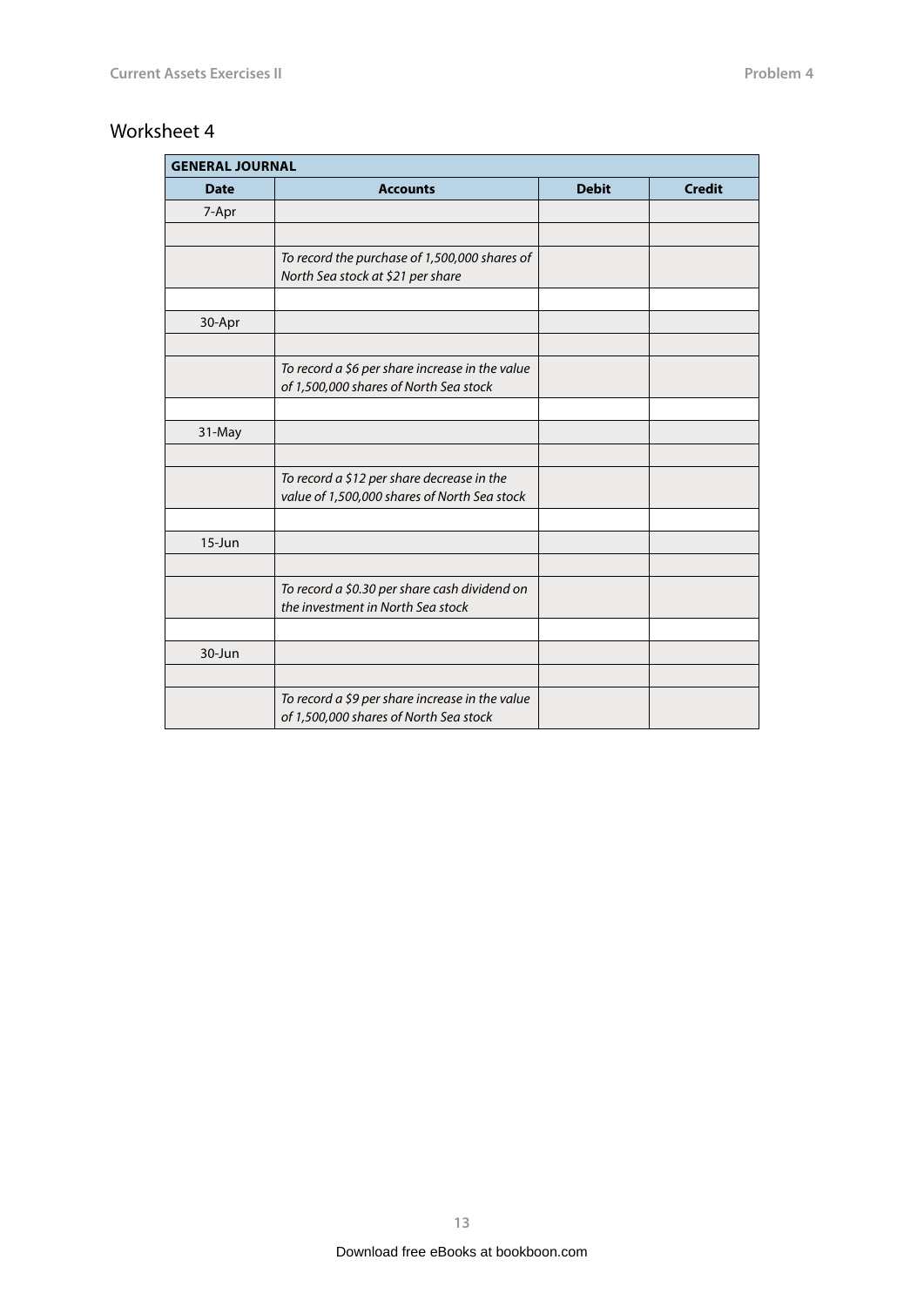<span id="page-12-0"></span>

| <b>GENERAL JOURNAL</b> |                                                                                            |              |               |
|------------------------|--------------------------------------------------------------------------------------------|--------------|---------------|
| <b>Date</b>            | <b>Accounts</b>                                                                            | <b>Debit</b> | <b>Credit</b> |
| 7-Apr                  |                                                                                            |              |               |
|                        |                                                                                            |              |               |
|                        | To record the purchase of 1,500,000 shares of<br>North Sea stock at \$21 per share         |              |               |
|                        |                                                                                            |              |               |
| 30-Apr                 |                                                                                            |              |               |
|                        |                                                                                            |              |               |
|                        | To record a \$6 per share increase in the value<br>of 1,500,000 shares of North Sea stock  |              |               |
|                        |                                                                                            |              |               |
| 31-May                 |                                                                                            |              |               |
|                        |                                                                                            |              |               |
|                        | To record a \$12 per share decrease in the<br>value of 1,500,000 shares of North Sea stock |              |               |
|                        |                                                                                            |              |               |
| $15 - Jun$             |                                                                                            |              |               |
|                        |                                                                                            |              |               |
|                        | To record a \$0.30 per share cash dividend on<br>the investment in North Sea stock         |              |               |
|                        |                                                                                            |              |               |
| 30-Jun                 |                                                                                            |              |               |
|                        |                                                                                            |              |               |
|                        | To record a \$9 per share increase in the value<br>of 1,500,000 shares of North Sea stock  |              |               |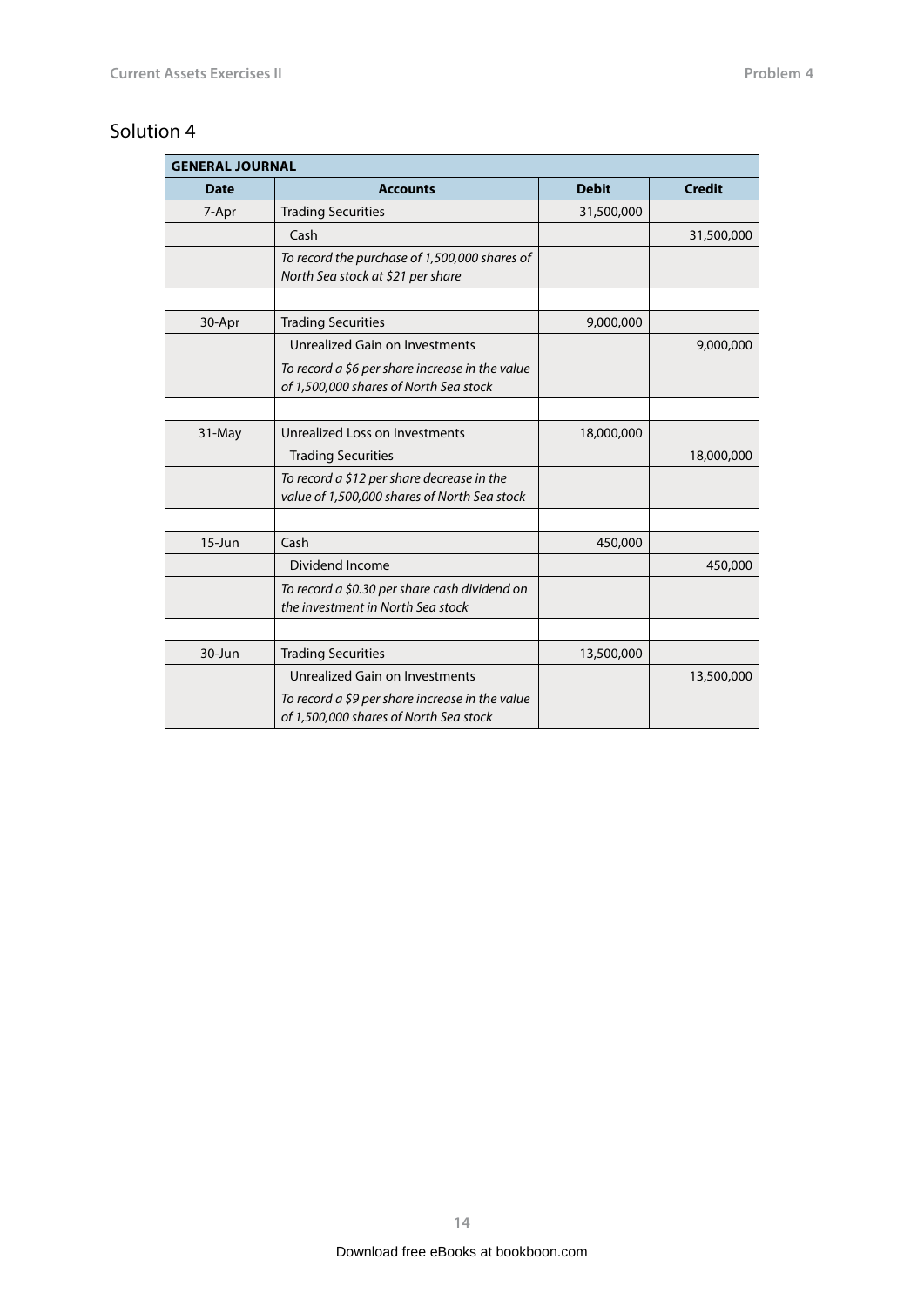<span id="page-13-0"></span>

| <b>GENERAL JOURNAL</b> |                                                                                            |              |               |
|------------------------|--------------------------------------------------------------------------------------------|--------------|---------------|
| <b>Date</b>            | <b>Accounts</b>                                                                            | <b>Debit</b> | <b>Credit</b> |
| 7-Apr                  | <b>Trading Securities</b>                                                                  | 31,500,000   |               |
|                        | Cash                                                                                       |              | 31,500,000    |
|                        | To record the purchase of 1,500,000 shares of<br>North Sea stock at \$21 per share         |              |               |
|                        |                                                                                            |              |               |
| 30-Apr                 | <b>Trading Securities</b>                                                                  | 9,000,000    |               |
|                        | Unrealized Gain on Investments                                                             |              | 9,000,000     |
|                        | To record a \$6 per share increase in the value<br>of 1,500,000 shares of North Sea stock  |              |               |
|                        |                                                                                            |              |               |
| 31-May                 | Unrealized Loss on Investments                                                             | 18,000,000   |               |
|                        | <b>Trading Securities</b>                                                                  |              | 18,000,000    |
|                        | To record a \$12 per share decrease in the<br>value of 1,500,000 shares of North Sea stock |              |               |
|                        |                                                                                            |              |               |
| $15 - Jun$             | Cash                                                                                       | 450,000      |               |
|                        | Dividend Income                                                                            |              | 450,000       |
|                        | To record a \$0.30 per share cash dividend on<br>the investment in North Sea stock         |              |               |
|                        |                                                                                            |              |               |
| 30-Jun                 | <b>Trading Securities</b>                                                                  | 13,500,000   |               |
|                        | Unrealized Gain on Investments                                                             |              | 13,500,000    |
|                        | To record a \$9 per share increase in the value<br>of 1,500,000 shares of North Sea stock  |              |               |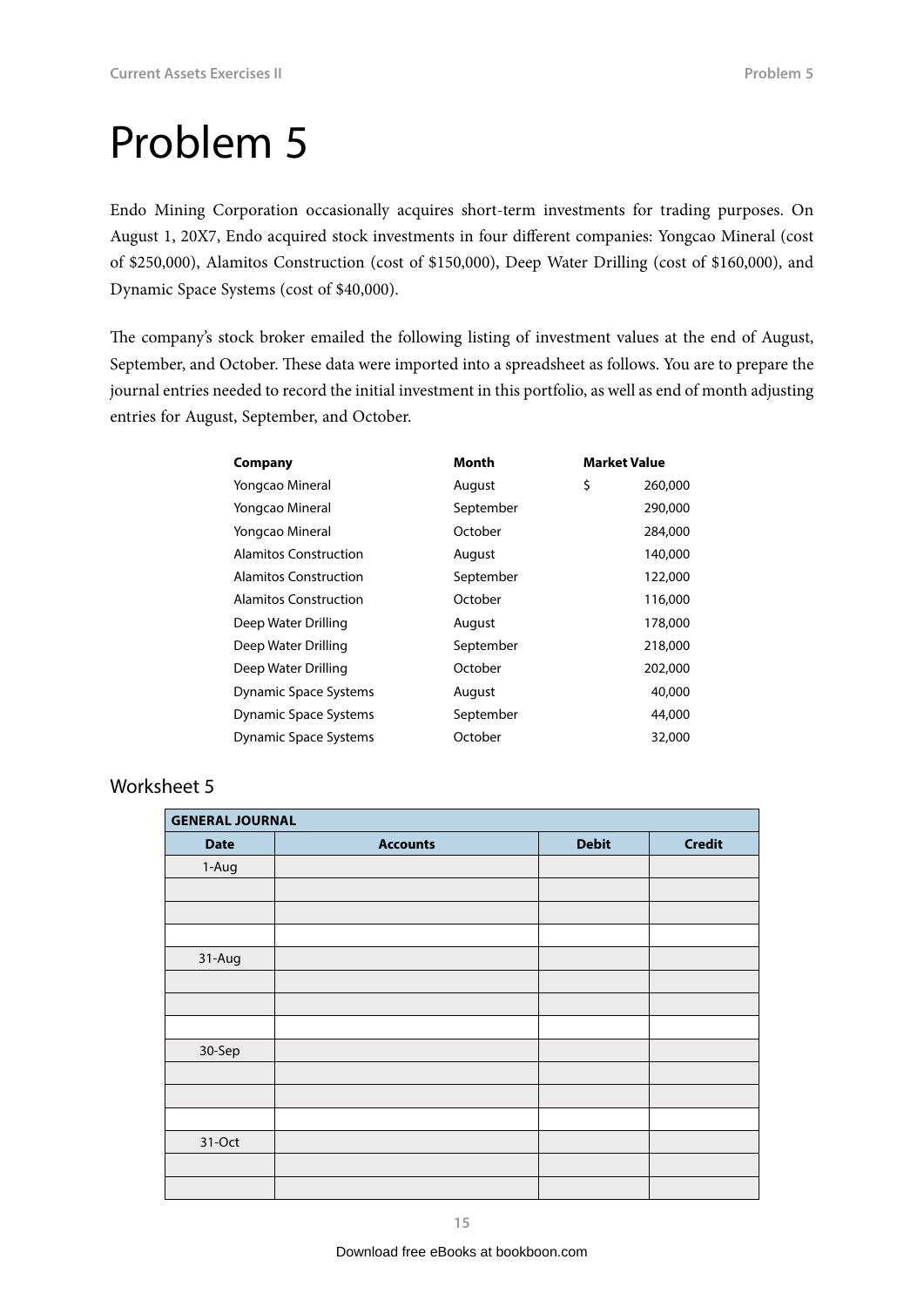<span id="page-14-0"></span>Endo Mining Corporation occasionally acquires short-term investments for trading purposes. On August 1, 20X7, Endo acquired stock investments in four different companies: Yongcao Mineral (cost of \$250,000), Alamitos Construction (cost of \$150,000), Deep Water Drilling (cost of \$160,000), and Dynamic Space Systems (cost of \$40,000).

The company's stock broker emailed the following listing of investment values at the end of August, September, and October. These data were imported into a spreadsheet as follows. You are to prepare the journal entries needed to record the initial investment in this portfolio, as well as end of month adjusting entries for August, September, and October.

| Company                      | Month     | <b>Market Value</b> |         |
|------------------------------|-----------|---------------------|---------|
| Yongcao Mineral              | August    | \$                  | 260,000 |
| Yongcao Mineral              | September |                     | 290,000 |
| Yongcao Mineral              | October   |                     | 284,000 |
| Alamitos Construction        | August    |                     | 140,000 |
| Alamitos Construction        | September |                     | 122,000 |
| Alamitos Construction        | October   |                     | 116,000 |
| Deep Water Drilling          | August    |                     | 178,000 |
| Deep Water Drilling          | September |                     | 218,000 |
| Deep Water Drilling          | October   |                     | 202,000 |
| Dynamic Space Systems        | August    |                     | 40,000  |
| Dynamic Space Systems        | September |                     | 44,000  |
| <b>Dynamic Space Systems</b> | October   |                     | 32,000  |

| <b>GENERAL JOURNAL</b> |                 |              |               |
|------------------------|-----------------|--------------|---------------|
| <b>Date</b>            | <b>Accounts</b> | <b>Debit</b> | <b>Credit</b> |
| 1-Aug                  |                 |              |               |
|                        |                 |              |               |
|                        |                 |              |               |
|                        |                 |              |               |
| 31-Aug                 |                 |              |               |
|                        |                 |              |               |
|                        |                 |              |               |
|                        |                 |              |               |
| 30-Sep                 |                 |              |               |
|                        |                 |              |               |
|                        |                 |              |               |
|                        |                 |              |               |
| 31-Oct                 |                 |              |               |
|                        |                 |              |               |
|                        |                 |              |               |